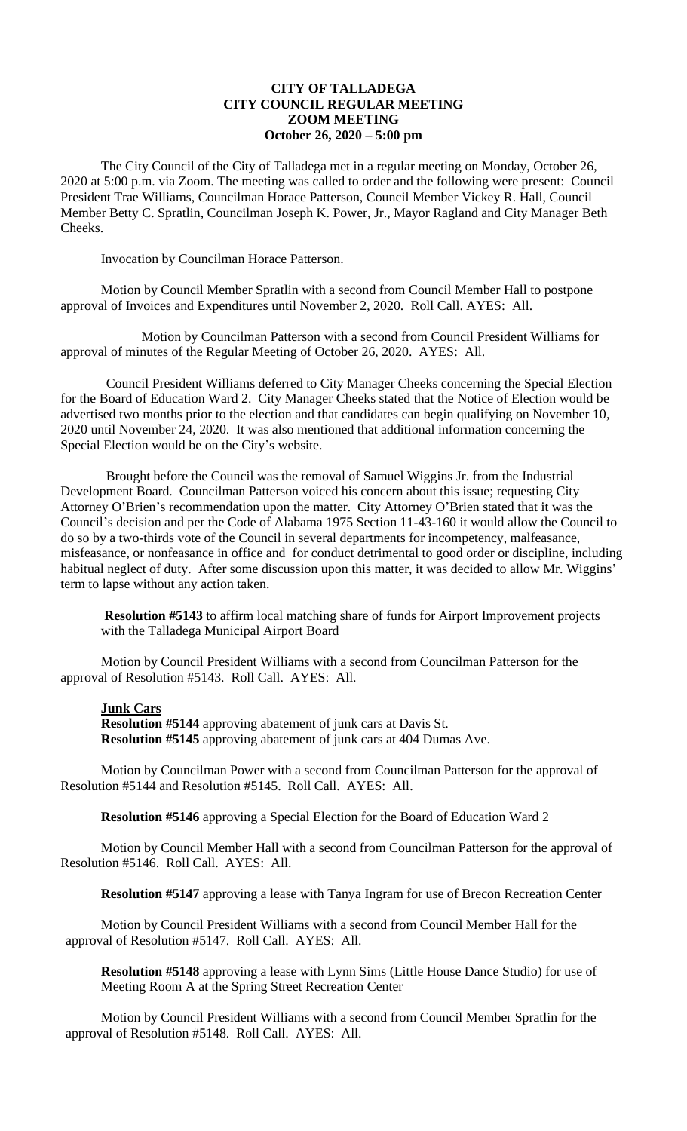## **CITY OF TALLADEGA CITY COUNCIL REGULAR MEETING ZOOM MEETING October 26, 2020 – 5:00 pm**

The City Council of the City of Talladega met in a regular meeting on Monday, October 26, 2020 at 5:00 p.m. via Zoom. The meeting was called to order and the following were present: Council President Trae Williams, Councilman Horace Patterson, Council Member Vickey R. Hall, Council Member Betty C. Spratlin, Councilman Joseph K. Power, Jr., Mayor Ragland and City Manager Beth Cheeks.

Invocation by Councilman Horace Patterson.

Motion by Council Member Spratlin with a second from Council Member Hall to postpone approval of Invoices and Expenditures until November 2, 2020. Roll Call. AYES: All.

Motion by Councilman Patterson with a second from Council President Williams for approval of minutes of the Regular Meeting of October 26, 2020. AYES: All.

Council President Williams deferred to City Manager Cheeks concerning the Special Election for the Board of Education Ward 2. City Manager Cheeks stated that the Notice of Election would be advertised two months prior to the election and that candidates can begin qualifying on November 10, 2020 until November 24, 2020. It was also mentioned that additional information concerning the Special Election would be on the City's website.

Brought before the Council was the removal of Samuel Wiggins Jr. from the Industrial Development Board. Councilman Patterson voiced his concern about this issue; requesting City Attorney O'Brien's recommendation upon the matter. City Attorney O'Brien stated that it was the Council's decision and per the Code of Alabama 1975 Section 11-43-160 it would allow the Council to do so by a two-thirds vote of the Council in several departments for incompetency, malfeasance, misfeasance, or nonfeasance in office and for conduct detrimental to good order or discipline, including habitual neglect of duty. After some discussion upon this matter, it was decided to allow Mr. Wiggins' term to lapse without any action taken.

**Resolution #5143** to affirm local matching share of funds for Airport Improvement projects with the Talladega Municipal Airport Board

Motion by Council President Williams with a second from Councilman Patterson for the approval of Resolution #5143. Roll Call. AYES: All.

## **Junk Cars**

**Resolution #5144** approving abatement of junk cars at Davis St. **Resolution #5145** approving abatement of junk cars at 404 Dumas Ave.

Motion by Councilman Power with a second from Councilman Patterson for the approval of Resolution #5144 and Resolution #5145. Roll Call. AYES: All.

**Resolution #5146** approving a Special Election for the Board of Education Ward 2

Motion by Council Member Hall with a second from Councilman Patterson for the approval of Resolution #5146. Roll Call. AYES: All.

**Resolution #5147** approving a lease with Tanya Ingram for use of Brecon Recreation Center

Motion by Council President Williams with a second from Council Member Hall for the approval of Resolution #5147. Roll Call. AYES: All.

**Resolution #5148** approving a lease with Lynn Sims (Little House Dance Studio) for use of Meeting Room A at the Spring Street Recreation Center

Motion by Council President Williams with a second from Council Member Spratlin for the approval of Resolution #5148. Roll Call. AYES: All.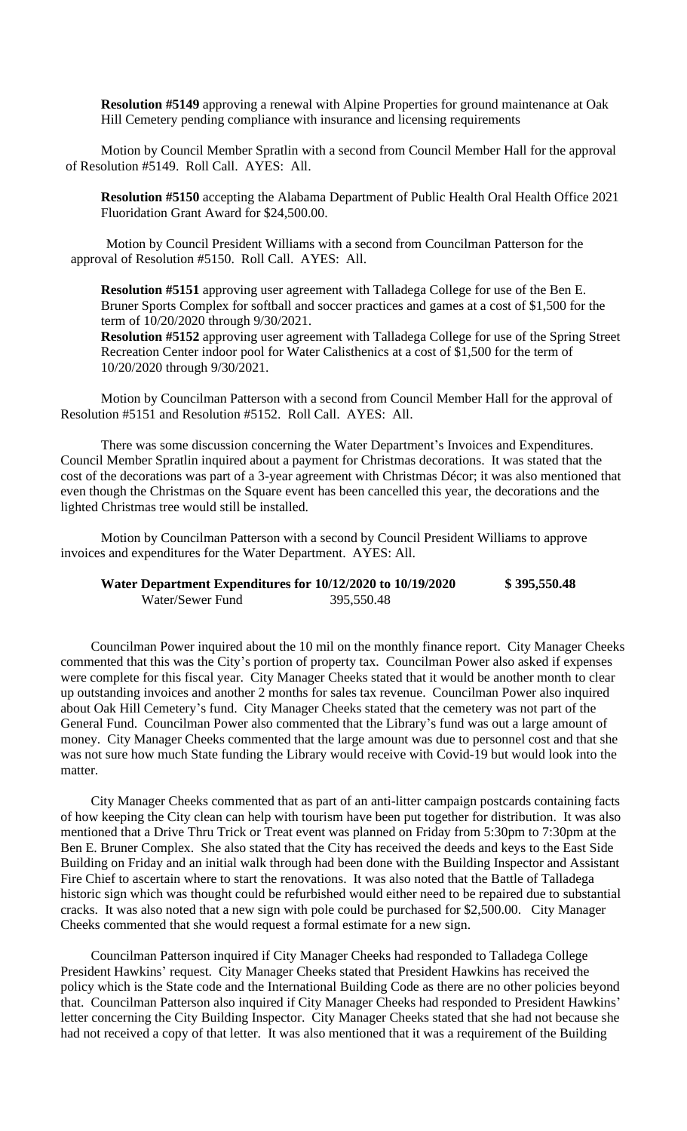**Resolution #5149** approving a renewal with Alpine Properties for ground maintenance at Oak Hill Cemetery pending compliance with insurance and licensing requirements

Motion by Council Member Spratlin with a second from Council Member Hall for the approval of Resolution #5149. Roll Call. AYES: All.

**Resolution #5150** accepting the Alabama Department of Public Health Oral Health Office 2021 Fluoridation Grant Award for \$24,500.00.

Motion by Council President Williams with a second from Councilman Patterson for the approval of Resolution #5150. Roll Call. AYES: All.

**Resolution #5151** approving user agreement with Talladega College for use of the Ben E. Bruner Sports Complex for softball and soccer practices and games at a cost of \$1,500 for the term of 10/20/2020 through 9/30/2021.

**Resolution #5152** approving user agreement with Talladega College for use of the Spring Street Recreation Center indoor pool for Water Calisthenics at a cost of \$1,500 for the term of 10/20/2020 through 9/30/2021.

Motion by Councilman Patterson with a second from Council Member Hall for the approval of Resolution #5151 and Resolution #5152. Roll Call. AYES: All.

There was some discussion concerning the Water Department's Invoices and Expenditures. Council Member Spratlin inquired about a payment for Christmas decorations. It was stated that the cost of the decorations was part of a 3-year agreement with Christmas Décor; it was also mentioned that even though the Christmas on the Square event has been cancelled this year, the decorations and the lighted Christmas tree would still be installed.

Motion by Councilman Patterson with a second by Council President Williams to approve invoices and expenditures for the Water Department. AYES: All.

| Water Department Expenditures for 10/12/2020 to 10/19/2020 |            | \$395,550.48 |
|------------------------------------------------------------|------------|--------------|
| Water/Sewer Fund                                           | 395,550.48 |              |

Councilman Power inquired about the 10 mil on the monthly finance report. City Manager Cheeks commented that this was the City's portion of property tax. Councilman Power also asked if expenses were complete for this fiscal year. City Manager Cheeks stated that it would be another month to clear up outstanding invoices and another 2 months for sales tax revenue. Councilman Power also inquired about Oak Hill Cemetery's fund. City Manager Cheeks stated that the cemetery was not part of the General Fund. Councilman Power also commented that the Library's fund was out a large amount of money. City Manager Cheeks commented that the large amount was due to personnel cost and that she was not sure how much State funding the Library would receive with Covid-19 but would look into the matter.

City Manager Cheeks commented that as part of an anti-litter campaign postcards containing facts of how keeping the City clean can help with tourism have been put together for distribution. It was also mentioned that a Drive Thru Trick or Treat event was planned on Friday from 5:30pm to 7:30pm at the Ben E. Bruner Complex. She also stated that the City has received the deeds and keys to the East Side Building on Friday and an initial walk through had been done with the Building Inspector and Assistant Fire Chief to ascertain where to start the renovations. It was also noted that the Battle of Talladega historic sign which was thought could be refurbished would either need to be repaired due to substantial cracks. It was also noted that a new sign with pole could be purchased for \$2,500.00. City Manager Cheeks commented that she would request a formal estimate for a new sign.

Councilman Patterson inquired if City Manager Cheeks had responded to Talladega College President Hawkins' request. City Manager Cheeks stated that President Hawkins has received the policy which is the State code and the International Building Code as there are no other policies beyond that. Councilman Patterson also inquired if City Manager Cheeks had responded to President Hawkins' letter concerning the City Building Inspector. City Manager Cheeks stated that she had not because she had not received a copy of that letter. It was also mentioned that it was a requirement of the Building